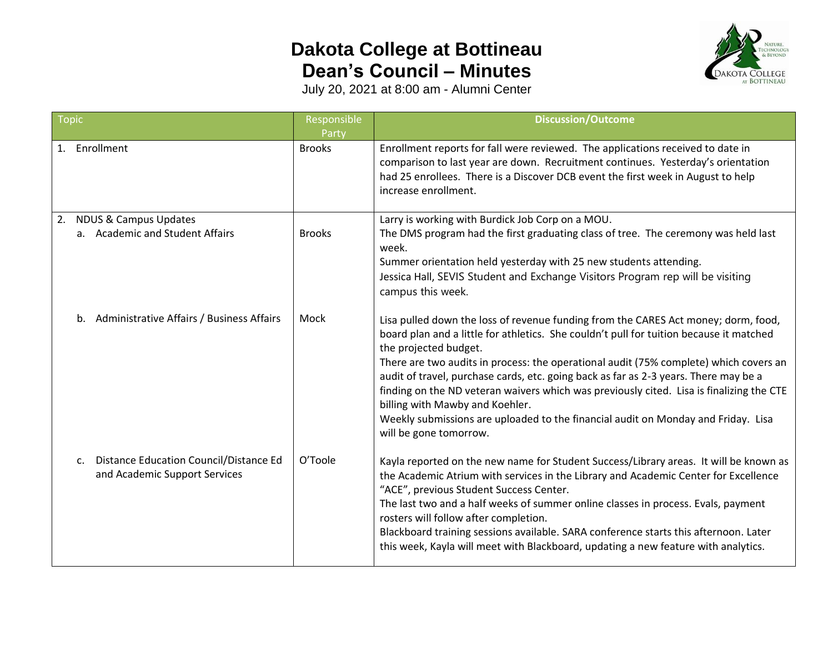## **Dakota College at Bottineau Dean's Council – Minutes**



July 20, 2021 at 8:00 am - Alumni Center

| <b>Topic</b> |                                                                               | Responsible   | <b>Discussion/Outcome</b>                                                                                                                                                                                                                                                                                                                                                                                                                                                                                                                                                                                                             |
|--------------|-------------------------------------------------------------------------------|---------------|---------------------------------------------------------------------------------------------------------------------------------------------------------------------------------------------------------------------------------------------------------------------------------------------------------------------------------------------------------------------------------------------------------------------------------------------------------------------------------------------------------------------------------------------------------------------------------------------------------------------------------------|
|              |                                                                               | Party         |                                                                                                                                                                                                                                                                                                                                                                                                                                                                                                                                                                                                                                       |
|              | 1. Enrollment                                                                 | <b>Brooks</b> | Enrollment reports for fall were reviewed. The applications received to date in<br>comparison to last year are down. Recruitment continues. Yesterday's orientation<br>had 25 enrollees. There is a Discover DCB event the first week in August to help<br>increase enrollment.                                                                                                                                                                                                                                                                                                                                                       |
|              | 2. NDUS & Campus Updates                                                      |               | Larry is working with Burdick Job Corp on a MOU.                                                                                                                                                                                                                                                                                                                                                                                                                                                                                                                                                                                      |
|              | a. Academic and Student Affairs                                               | <b>Brooks</b> | The DMS program had the first graduating class of tree. The ceremony was held last<br>week.                                                                                                                                                                                                                                                                                                                                                                                                                                                                                                                                           |
|              |                                                                               |               | Summer orientation held yesterday with 25 new students attending.                                                                                                                                                                                                                                                                                                                                                                                                                                                                                                                                                                     |
|              |                                                                               |               | Jessica Hall, SEVIS Student and Exchange Visitors Program rep will be visiting<br>campus this week.                                                                                                                                                                                                                                                                                                                                                                                                                                                                                                                                   |
|              | b. Administrative Affairs / Business Affairs                                  | Mock          | Lisa pulled down the loss of revenue funding from the CARES Act money; dorm, food,<br>board plan and a little for athletics. She couldn't pull for tuition because it matched<br>the projected budget.<br>There are two audits in process: the operational audit (75% complete) which covers an<br>audit of travel, purchase cards, etc. going back as far as 2-3 years. There may be a<br>finding on the ND veteran waivers which was previously cited. Lisa is finalizing the CTE<br>billing with Mawby and Koehler.<br>Weekly submissions are uploaded to the financial audit on Monday and Friday. Lisa<br>will be gone tomorrow. |
|              | Distance Education Council/Distance Ed<br>c.<br>and Academic Support Services | O'Toole       | Kayla reported on the new name for Student Success/Library areas. It will be known as<br>the Academic Atrium with services in the Library and Academic Center for Excellence<br>"ACE", previous Student Success Center.<br>The last two and a half weeks of summer online classes in process. Evals, payment<br>rosters will follow after completion.<br>Blackboard training sessions available. SARA conference starts this afternoon. Later<br>this week, Kayla will meet with Blackboard, updating a new feature with analytics.                                                                                                   |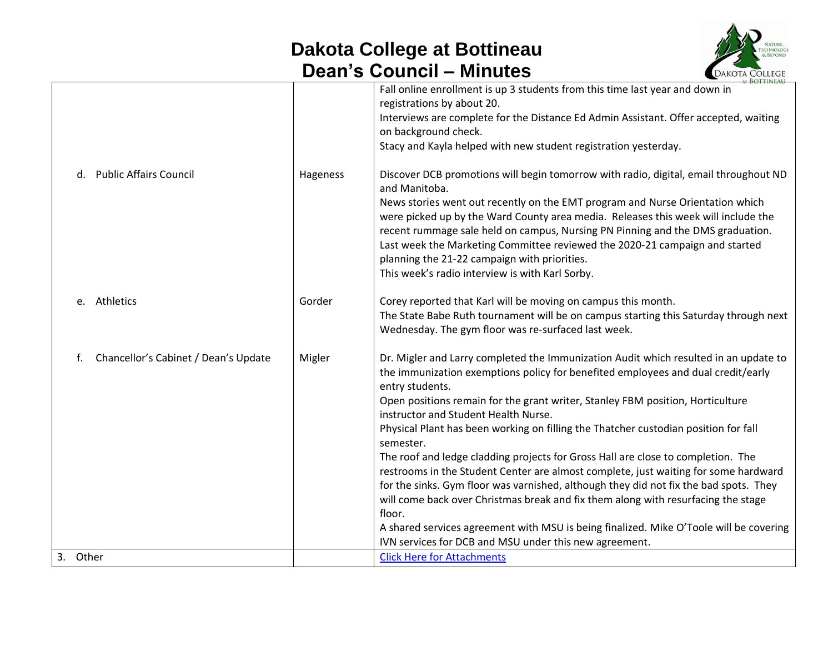## **Dakota College at Bottineau Dean's Council – Minutes**



|                                            |          | <b>BOTTIMEALL</b>                                                                                                                                                                                                                                                                                                                                                                                                                                                                                                                                                                                                                                                                                                                                                                                                                                                                                                                                |
|--------------------------------------------|----------|--------------------------------------------------------------------------------------------------------------------------------------------------------------------------------------------------------------------------------------------------------------------------------------------------------------------------------------------------------------------------------------------------------------------------------------------------------------------------------------------------------------------------------------------------------------------------------------------------------------------------------------------------------------------------------------------------------------------------------------------------------------------------------------------------------------------------------------------------------------------------------------------------------------------------------------------------|
|                                            |          | Fall online enrollment is up 3 students from this time last year and down in<br>registrations by about 20.<br>Interviews are complete for the Distance Ed Admin Assistant. Offer accepted, waiting<br>on background check.<br>Stacy and Kayla helped with new student registration yesterday.                                                                                                                                                                                                                                                                                                                                                                                                                                                                                                                                                                                                                                                    |
| <b>Public Affairs Council</b><br>d.        | Hageness | Discover DCB promotions will begin tomorrow with radio, digital, email throughout ND<br>and Manitoba.<br>News stories went out recently on the EMT program and Nurse Orientation which<br>were picked up by the Ward County area media. Releases this week will include the<br>recent rummage sale held on campus, Nursing PN Pinning and the DMS graduation.<br>Last week the Marketing Committee reviewed the 2020-21 campaign and started<br>planning the 21-22 campaign with priorities.<br>This week's radio interview is with Karl Sorby.                                                                                                                                                                                                                                                                                                                                                                                                  |
| Athletics<br>e.                            | Gorder   | Corey reported that Karl will be moving on campus this month.<br>The State Babe Ruth tournament will be on campus starting this Saturday through next<br>Wednesday. The gym floor was re-surfaced last week.                                                                                                                                                                                                                                                                                                                                                                                                                                                                                                                                                                                                                                                                                                                                     |
| Chancellor's Cabinet / Dean's Update<br>f. | Migler   | Dr. Migler and Larry completed the Immunization Audit which resulted in an update to<br>the immunization exemptions policy for benefited employees and dual credit/early<br>entry students.<br>Open positions remain for the grant writer, Stanley FBM position, Horticulture<br>instructor and Student Health Nurse.<br>Physical Plant has been working on filling the Thatcher custodian position for fall<br>semester.<br>The roof and ledge cladding projects for Gross Hall are close to completion. The<br>restrooms in the Student Center are almost complete, just waiting for some hardward<br>for the sinks. Gym floor was varnished, although they did not fix the bad spots. They<br>will come back over Christmas break and fix them along with resurfacing the stage<br>floor.<br>A shared services agreement with MSU is being finalized. Mike O'Toole will be covering<br>IVN services for DCB and MSU under this new agreement. |
| 3. Other                                   |          | <b>Click Here for Attachments</b>                                                                                                                                                                                                                                                                                                                                                                                                                                                                                                                                                                                                                                                                                                                                                                                                                                                                                                                |